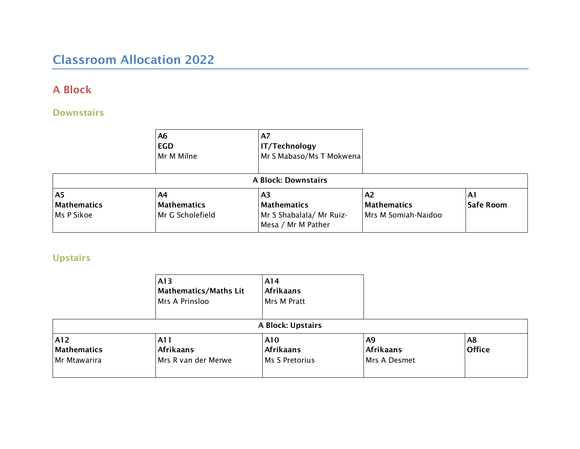# Classroom Allocation 2022

## A Block

### **Downstairs**

|                                             | A6<br><b>EGD</b><br>Mr M Milne        | A7<br><b>IT/Technology</b><br>Mr S Mabaso/Ms T Mokwena               |                                                 |                        |
|---------------------------------------------|---------------------------------------|----------------------------------------------------------------------|-------------------------------------------------|------------------------|
|                                             |                                       | <b>A Block: Downstairs</b>                                           |                                                 |                        |
| A <sub>5</sub><br>Mathematics<br>Ms P Sikoe | A4<br>Mathematics<br>Mr G Scholefield | ΑЗ.<br>Mathematics<br>Mr S Shabalala/ Mr Ruiz-<br>Mesa / Mr M Pather | A2<br><b>Mathematics</b><br>Mrs M Somiah-Naidoo | A1<br><b>Safe Room</b> |

# Upstairs

|                                           | A13<br>Mathematics/Maths Lit<br>Mrs A Prinsloo  | A14<br><b>Afrikaans</b><br>Mrs M Pratt    |                                        |                     |
|-------------------------------------------|-------------------------------------------------|-------------------------------------------|----------------------------------------|---------------------|
|                                           |                                                 | A Block: Upstairs                         |                                        |                     |
| A12<br><b>Mathematics</b><br>Mr Mtawarira | A1 1<br><b>Afrikaans</b><br>Mrs R van der Merwe | A10<br><b>Afrikaans</b><br>Ms S Pretorius | A9<br><b>Afrikaans</b><br>Mrs A Desmet | A8<br><b>Office</b> |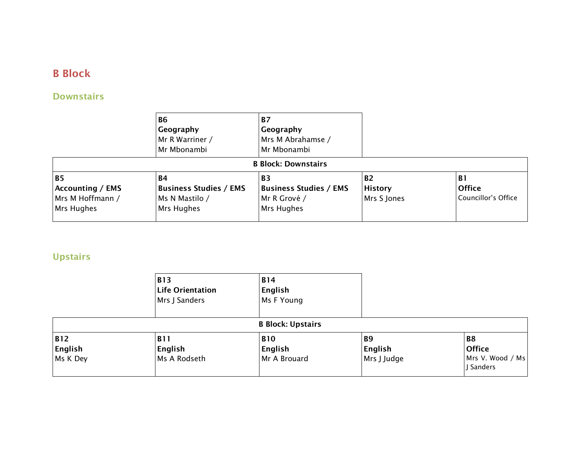# B Block

### **Downstairs**

|                                                                        | <b>B6</b><br>Geography<br>Mr R Warriner /<br>Mr Mbonambi                   | <b>B7</b><br>Geography<br>Mrs M Abrahamse /<br>Mr Mbonambi               |                                            |                                                   |
|------------------------------------------------------------------------|----------------------------------------------------------------------------|--------------------------------------------------------------------------|--------------------------------------------|---------------------------------------------------|
|                                                                        |                                                                            | <b>B Block: Downstairs</b>                                               |                                            |                                                   |
| <b>B5</b><br><b>Accounting / EMS</b><br>Mrs M Hoffmann /<br>Mrs Hughes | <b>B4</b><br><b>Business Studies / EMS</b><br>Ms N Mastilo /<br>Mrs Hughes | <b>B3</b><br><b>Business Studies / EMS</b><br>Mr R Grové /<br>Mrs Hughes | <b>B2</b><br><b>History</b><br>Mrs S Jones | <b>B1</b><br><b>Office</b><br>Councillor's Office |

## **Upstairs**

|                                   | <b>B13</b><br><b>Life Orientation</b><br>Mrs J Sanders | <b>B14</b><br>English<br>Ms F Young   |                                     |                                                           |
|-----------------------------------|--------------------------------------------------------|---------------------------------------|-------------------------------------|-----------------------------------------------------------|
|                                   |                                                        | <b>B Block: Upstairs</b>              |                                     |                                                           |
| <b>B12</b><br>English<br>Ms K Dey | <b>B11</b><br>English<br>Ms A Rodseth                  | <b>B10</b><br>English<br>Mr A Brouard | <b>B9</b><br>English<br>Mrs J Judge | <b>B8</b><br><b>Office</b><br>Mrs V. Wood / Ms<br>Sanders |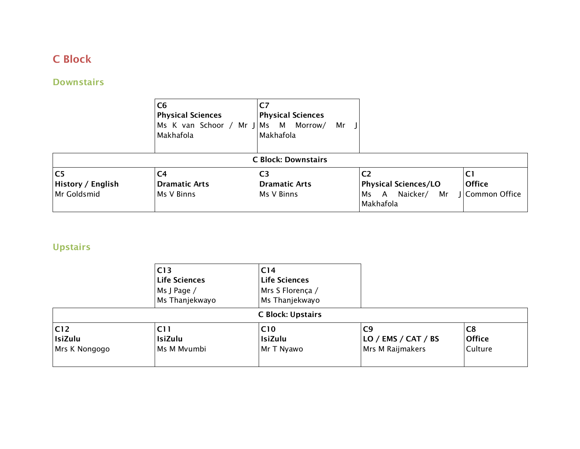# C Block

# **Downstairs**

|                                                    | C <sub>6</sub><br><b>Physical Sciences</b><br>Ms K van Schoor / Mr J Ms M<br>Makhafola | C7<br><b>Physical Sciences</b><br>Morrow/<br>Mr<br>Makhafola |                                                                                         |                                        |
|----------------------------------------------------|----------------------------------------------------------------------------------------|--------------------------------------------------------------|-----------------------------------------------------------------------------------------|----------------------------------------|
|                                                    |                                                                                        | <b>C Block: Downstairs</b>                                   |                                                                                         |                                        |
| C <sub>5</sub><br>History / English<br>Mr Goldsmid | C4<br><b>Dramatic Arts</b><br>Ms V Binns                                               | C <sub>3</sub><br><b>Dramatic Arts</b><br>Ms V Binns         | C <sub>2</sub><br><b>Physical Sciences/LO</b><br>Naicker/<br>A<br>Mr<br>Ms<br>Makhafola | C1<br><b>Office</b><br>J Common Office |

# Upstairs

|                                         | C13<br><b>Life Sciences</b><br>Ms J Page /<br>Ms Thanjekwayo | C <sub>14</sub><br><b>Life Sciences</b><br>Mrs S Florença /<br>Ms Thanjekwayo |                                                            |                                            |  |
|-----------------------------------------|--------------------------------------------------------------|-------------------------------------------------------------------------------|------------------------------------------------------------|--------------------------------------------|--|
| <b>C Block: Upstairs</b>                |                                                              |                                                                               |                                                            |                                            |  |
| C12 <br><b>IsiZulu</b><br>Mrs K Nongogo | C11<br>IsiZulu<br>Ms M Mvumbi                                | C <sub>10</sub><br>IsiZulu<br>Mr T Nyawo                                      | C9<br>$\overline{LO}$ / EMS / CAT / BS<br>Mrs M Raijmakers | C <sub>8</sub><br><b>Office</b><br>Culture |  |